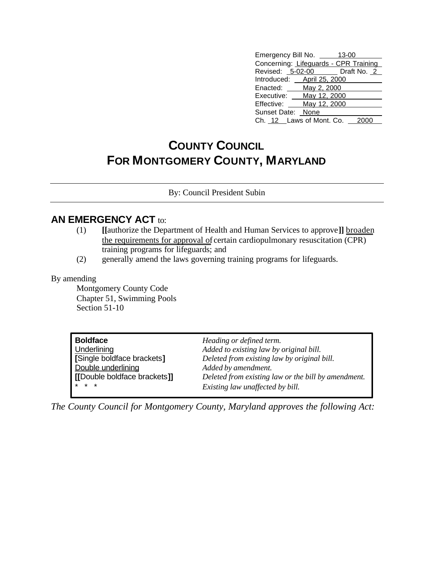| Emergency Bill No. ____<br>13-00      |  |  |  |  |
|---------------------------------------|--|--|--|--|
| Concerning: Lifeguards - CPR Training |  |  |  |  |
| Revised: 5-02-00 Draft No. 2          |  |  |  |  |
| Introduced: __ April 25, 2000         |  |  |  |  |
| May 2, 2000<br>Enacted:               |  |  |  |  |
| May 12, 2000<br>Executive:            |  |  |  |  |
| May 12, 2000<br>Effective:            |  |  |  |  |
| Sunset Date: None                     |  |  |  |  |
| Ch. 12 Laws of Mont. Co.              |  |  |  |  |

## **COUNTY COUNCIL FOR MONTGOMERY COUNTY, MARYLAND**

By: Council President Subin

## **AN EMERGENCY ACT to:**

- (1) **[[**authorize the Department of Health and Human Services to approve**]]** broaden the requirements for approval of certain cardiopulmonary resuscitation (CPR) training programs for lifeguards; and
- (2) generally amend the laws governing training programs for lifeguards.

## By amending

Montgomery County Code Chapter 51, Swimming Pools Section 51-10

| <b>Boldface</b>              | Heading or defined term.                            |
|------------------------------|-----------------------------------------------------|
| Underlining                  | Added to existing law by original bill.             |
| Single boldface brackets]    | Deleted from existing law by original bill.         |
| Double underlining           | Added by amendment.                                 |
| [[Double boldface brackets]] | Deleted from existing law or the bill by amendment. |
| $* * *$                      | Existing law unaffected by bill.                    |

*The County Council for Montgomery County, Maryland approves the following Act:*